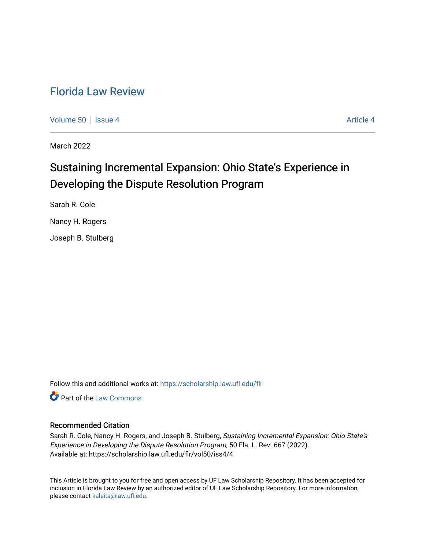# [Florida Law Review](https://scholarship.law.ufl.edu/flr)

[Volume 50](https://scholarship.law.ufl.edu/flr/vol50) Setsue 4 [Article 4](https://scholarship.law.ufl.edu/flr/vol50/iss4/4) Article 4 Article 4 Article 4 Article 4 Article 4

March 2022

# Sustaining Incremental Expansion: Ohio State's Experience in Developing the Dispute Resolution Program

Sarah R. Cole

Nancy H. Rogers

Joseph B. Stulberg

Follow this and additional works at: [https://scholarship.law.ufl.edu/flr](https://scholarship.law.ufl.edu/flr?utm_source=scholarship.law.ufl.edu%2Fflr%2Fvol50%2Fiss4%2F4&utm_medium=PDF&utm_campaign=PDFCoverPages)

**C** Part of the [Law Commons](https://network.bepress.com/hgg/discipline/578?utm_source=scholarship.law.ufl.edu%2Fflr%2Fvol50%2Fiss4%2F4&utm_medium=PDF&utm_campaign=PDFCoverPages)

# Recommended Citation

Sarah R. Cole, Nancy H. Rogers, and Joseph B. Stulberg, Sustaining Incremental Expansion: Ohio State's Experience in Developing the Dispute Resolution Program, 50 Fla. L. Rev. 667 (2022). Available at: https://scholarship.law.ufl.edu/flr/vol50/iss4/4

This Article is brought to you for free and open access by UF Law Scholarship Repository. It has been accepted for inclusion in Florida Law Review by an authorized editor of UF Law Scholarship Repository. For more information, please contact [kaleita@law.ufl.edu](mailto:kaleita@law.ufl.edu).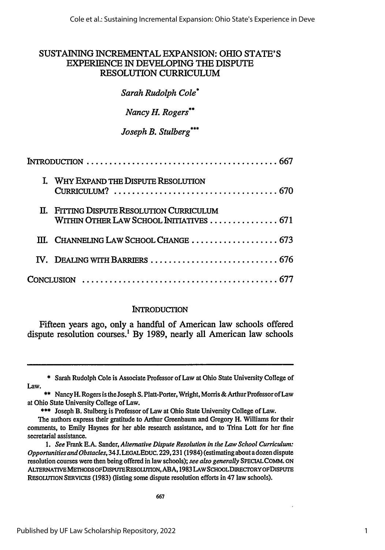# **SUSTAINING** INCREMENTAL EXPANSION: OHIO **STATE'S** EXPERIENCE IN DEVELOPING THE DISPUTE RESOLUTION **CURRICULUM**

# *Sarah Rudolph Cole'*

*Nancy H. Rogers\*\**

*Joseph B. Stulberg\*\*\**

| INTRODUCTION $\ldots \ldots \ldots \ldots \ldots \ldots \ldots \ldots \ldots \ldots \ldots \ldots \ldots$ |                                                                                       |
|-----------------------------------------------------------------------------------------------------------|---------------------------------------------------------------------------------------|
|                                                                                                           | I. WHY EXPAND THE DISPUTE RESOLUTION                                                  |
|                                                                                                           | II. FITTING DISPUTE RESOLUTION CURRICULUM<br>WITHIN OTHER LAW SCHOOL INITIATIVES  671 |
|                                                                                                           | III. CHANNELING LAW SCHOOL CHANGE  673                                                |
|                                                                                                           |                                                                                       |
|                                                                                                           |                                                                                       |

# **INTRODUCTION**

Fifteen years ago, only a handful of American law schools offered dispute resolution courses.' **By 1989,** nearly all American law schools

\* Sarah Rudolph Cole is Associate Professor of Law at Ohio State University College of Law.

\*\*\* Joseph B. Stulberg is Professor of Law at Ohio State University College of Law.

*1. See* Frank E.A. Sander, *Alternative Dispute Resolution in the Law School Curriculum: Opportunities and Obstacles,* **34J.** LEGALEDUc. 229,231 (1984) (estimating about a dozen dispute resolution courses were then being offered in law schools); *see also generally* SPECIALCOMM. ON ALTERNATivEMETHODS oFDisPurEREsouTroN, ABA, 1983 LAWSCHOOLDIRECTORYOFDISPUTE RESOLUTION SERVICES (1983) (listing some dispute resolution efforts in 47 law schools).

<sup>\*\*</sup> Nancy H. Rogers is the Joseph S. Platt-Porter, Wright, Morris & Arthur Professor of Law at Ohio State University College of Law.

The authors express their gratitude to Arthur Greenbaum and Gregory H. Williams for their comments, to Emily Haynes for her able research assistance, and to Trina Lott for her fine secretarial assistance.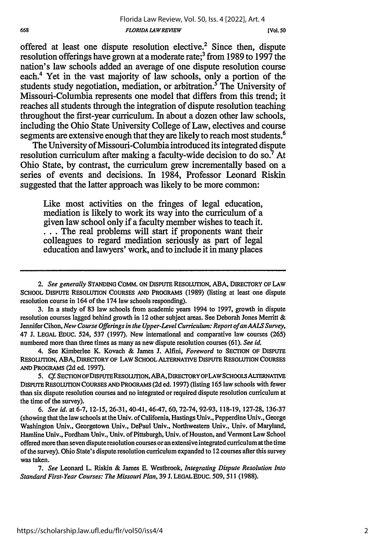offered at least one dispute resolution elective.2 Since then, dispute resolution offerings have grown at a moderate rate;3 from **1989** to **1997** the nation's law schools added an average of one dispute resolution course each.4 Yet in the vast majority of law schools, only a portion of the students study negotiation, mediation, or arbitration.<sup>5</sup> The University of Missouri-Columbia represents one model that differs from this trend; it reaches all students through the integration of dispute resolution teaching throughout the first-year curriculum. In about a dozen other law schools, including the Ohio State University College of Law, electives and course segments are extensive enough that they are **likely** to reach most students.6

The University of Missouri-Columbia introduced its integrated dispute resolution curriculum after making a faculty-wide decision to do **so.7** At Ohio State, **by** contrast, the curriculum grew incrementally based on a series of events and decisions. In 1984, Professor Leonard Riskin suggested that the latter approach was likely to be more common:

Like most activities on the fringes of legal education, mediation is likely to work its way into the curriculum of a given law school only if a faculty member wishes to teach it. **...** The real problems will start if proponents want their colleagues to regard mediation seriously as part of legal education and lawyers' work, and to include it in many places

*2. See generally* **STANDING COMM. ON** DISPUTE RESOLUTION, **ABA,** DIRECTORY OF LAW **SCHOOL** DISPUTE RESOLUTION **COURSES AND** PROGRAMS (1989) (listing at least one dispute resolution course in 164 of the 174 law schools responding).

**3.** In a study of **83** law schools from academic years 1994 to **1997,** growth in dispute resolution courses lagged behind growth in 12 other subject areas. See Deborah Jones Merritt & Jennifer Cihon, *New Course Offerings in the Upper-Level Curriculum: Report of an AALS Survey,* 47 **J. LEGAL EDUC.** 524, **537 (1997).** New international and comparative law courses **(265)** numbered more than three times as many as new dispute resolution courses **(61).** *See id.*

4. See Kimberlee K. Kovach & James **J.** Alfini, *Foreword* to SECTION OF DISPUTE RESOLUTION, **ABA,** DIRECTORY OF LAW **SCHOOL** ALTERNATIVE DISPUTE RESOLUTION COURSES **AND** PROGRAMS **(2d** ed. **1997).**

**5.** *Cf.* SECrIONOFDISPUTERESOLUTION, **ABA,** DIRECTORYOFLAWSCHOOLsALTERNATIVE DISPUTE RESOLUTION **COURSES AND** PROGRAMS **(2d** ed. **1997)** (listing **165** law schools with fewer than six dispute resolution courses and no integrated or required dispute resolution curriculum at the time of the survey).

*6. See id.* at 6-7, 12-15, 26-31, 40-41, 46-47, 60, 72-74, 92-93, 118-19, 127-28, 136-37 (showing that the law schools at the Univ. of California, Hastings Univ., Pepperdine Univ., George Washington Univ., Georgetown Univ., DePaul Univ., Northwestern Univ., Univ. of Maryland, Hamline Univ., Fordham Univ., Univ. of Pittsburgh, Univ. of Houston, and Vermont Law School offered more than seven dispute resolution courses or an extensive integrated curriculum at the time of the survey). Ohio State's dispute resolution curriculum expanded to 12 courses after this survey was taken.

*7. See* Leonard L. Riskin & James **E.** Westbrook, *Integrating Dispute Resolution Into Standard First-Year Courses: The Missouri Plan,* 39 J. LEGALEDUC. 509, 511 (1988).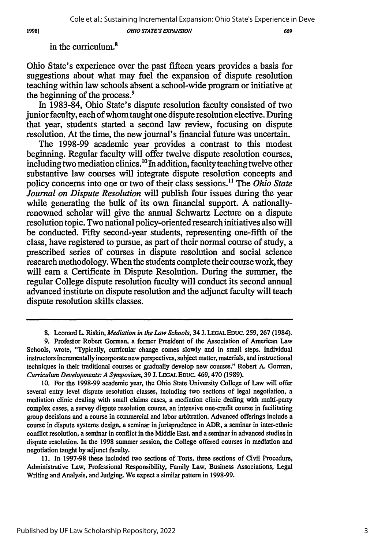*OHIO STATE'S EXPANSION*

1998]

in the curriculum.<sup>8</sup>

Ohio State's experience over the past fifteen years provides a basis for suggestions about what may fuel the expansion of dispute resolution teaching within law schools absent a school-wide program or initiative at the beginning of the process.'

In **1983-84,** Ohio State's dispute resolution faculty consisted of two junior faculty, each of whom taught one dispute resolution elective. During that year, students started a second law review, focusing on dispute resolution. At the time, the new journal's financial future was uncertain.

The **1998-99** academic year provides a contrast to this modest beginning. Regular faculty will offer twelve dispute resolution courses, including two mediation clinics."° In addition, faculty teaching twelve other substantive law courses will integrate dispute resolution concepts and policy concerns into one or two of their class sessions." The *Ohio State Journal on Dispute Resolution* will publish four issues during the year while generating the bulk of its own financial support. **A** nationallyrenowned scholar will give the annual Schwartz Lecture on a dispute resolution topic. Two national policy-oriented research initiatives also will be conducted. Fifty second-year students, representing one-fifth of the class, have registered to pursue, as part of their normal course of study, a prescribed series of courses in dispute resolution and social science research methodology. When the students complete their course work, they will earn a Certificate in Dispute Resolution. During the summer, the regular College dispute resolution faculty will conduct its second annual advanced institute on dispute resolution and the adjunct faculty will teach dispute resolution skills classes.

**11.** In **1997-98** these included two sections of Torts, three sections of Civil Procedure, Administrative Law, Professional Responsibility, Family Law, Business Associations, Legal Writing and Analysis, and Judging. We expect a similar pattern in **1998-99.**

**<sup>8.</sup>** Leonard L. Riskin, *Mediation in the Law Schools,* 34 **J. LEGAL** EDUC. **259,267** (1984).

**<sup>9.</sup>** Profesbor Robert Gorman, a former President of the Association of American Law Schools, wrote, 'Typically, curricular change comes slowly and in small steps. Individual instructors incrementally incorporate new perspectives, subject matter, materials, and instructional techniques in their traditional courses or gradually develop new courses." Robert **A.** Gorman, *Curriculum Developments: A Symposium,* **39 J.** LEGAL EDUC. 469,470 **(1989).**

**<sup>10.</sup>** For the **1998-99** academic year, the Ohio State University College of Law will offer several entry level dispute resolution classes, including two sections of legal negotiation, a mediation clinic dealing with small claims cases, a mediation clinic dealing with multi-party complex cases, a survey dispute resolution course, an intensive one-credit course in facilitating group decisions and a course in commercial and labor arbitration. Advanced offerings include a course in dispute systems design, a seminar in jurisprudence in ADR, a seminar in inter-ethnic conflict resolution, a seminar in conflict in the Middle East, and a seminar in advanced studies in dispute resolution. In the **1998** summer session, the College offered courses in mediation and negotiation taught **by** adjunct faculty.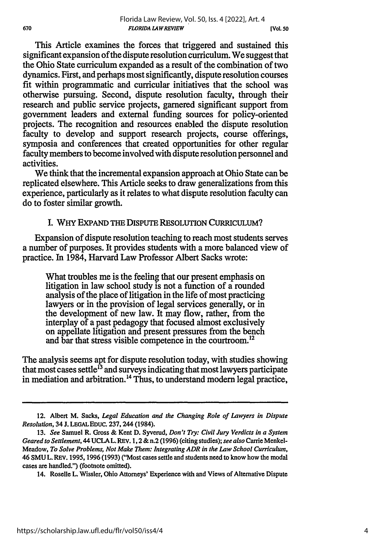This Article examines the forces that triggered and sustained this significant expansion of the dispute resolution curriculum. We suggest that the Ohio State curriculum expanded as a result of the combination of two dynamics. First, and perhaps most significantly, dispute resolution courses fit within programmatic and curricular initiatives that the school was otherwise pursuing. Second, dispute resolution faculty, through their research and public service projects, garnered significant support from government leaders and external funding sources for policy-oriented projects. The recognition and resources enabled the dispute resolution faculty to develop and support research projects, course offerings, symposia and conferences that created opportunities for other regular faculty members to become involved with dispute resolution personnel and activities.

We think that the incremental expansion approach at Ohio State can be replicated elsewhere. This Article seeks to draw generalizations from this experience, particularly as it relates to what dispute resolution faculty can do to foster similar growth.

#### **I.** WHY EXPAND **THE** DIsPuTE RESOLUTION CuRRIcuLuM?

Expansion of dispute resolution teaching to reach most students serves a number of purposes. It provides students with a more balanced view of practice. In 1984, Harvard Law Professor Albert Sacks wrote:

What troubles me is the feeling that our present emphasis on litigation in law school study is not a function of a rounded analysis of the place of litigation in the life of most practicing lawyers or in the provision of legal services generally, or in the development of new law. It may flow, rather, from the interplay of a past pedagogy that focused almost exclusively on appellate litigation and present pressures from the bench and bar that stress visible competence in the courtroom.<sup>12</sup>

The analysis seems apt for dispute resolution today, with studies showing that most cases settle  $^{13}$  and surveys indicating that most lawyers participate in mediation and arbitration.<sup>14</sup> Thus, to understand modern legal practice,

<sup>12.</sup> Albert M. Sacks, *Legal Education and the Changing Role of Lawyers in Dispute Resolution,* 34 J. **LEGAL EDUC. 237,** 244 (1984).

<sup>13.</sup> *See* Samuel R. Gross & Kent D. Syverud, *Don't Try: Civil Jury Verdicts in a System Geared to Settlement,* 44 **UCLA** L. **REv. 1,** 2 & n.2 (1996) (citing studies); *see also* Carrie Menkel-Meadow, *To Solve Problems, Not Make Them: Integrating ADR in the Law School Curriculum,* 46 **SMU** L. REV. 1995, 1996 (1993) ("Most cases settle and students need to know how the modal cases are handled.") (footnote omitted).

<sup>14.</sup> Roselle L. Wissler, Ohio Attorneys' Experience with and Views of Alternative Dispute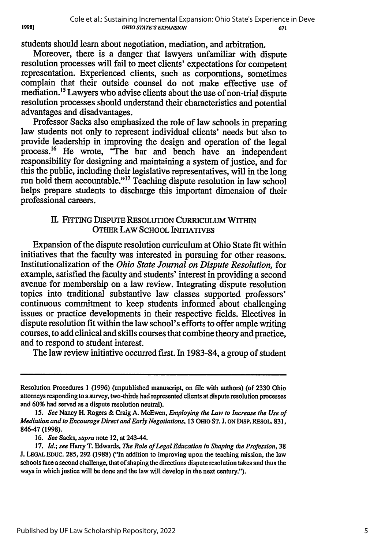students should learn about negotiation, mediation, and arbitration.

19981

Moreover, there is a danger that lawyers unfamiliar with dispute resolution processes will fail to meet clients' expectations for competent representation. Experienced clients, such as corporations, sometimes complain that their outside counsel do not make effective use of mediation.<sup>15</sup> Lawyers who advise clients about the use of non-trial dispute resolution processes should understand their characteristics and potential advantages and disadvantages.

Professor Sacks also emphasized the role of law schools in preparing law students not only to represent individual clients' needs but also to provide leadership in improving the design and operation of the legal process.<sup>16</sup> He wrote, "The bar and bench have an independent responsibility for designing and maintaining a system of justice, and for this the public, including their legislative representatives, will in the long run hold them accountable."<sup>17</sup> Teaching dispute resolution in law school helps prepare students to discharge this important dimension of their professional careers.

# II. FITTING DISPUTE RESOLUTION CURRICULUM WITHIN OTHER LAW SCHOOL INITIATIVES

Expansion of the dispute resolution curriculum at Ohio State fit within initiatives that the faculty was interested in pursuing for other reasons. Institutionalization of the *Ohio State Journal on Dispute Resolution,* for example, satisfied the faculty and students' interest in providing a second avenue for membership on a law review. Integrating dispute resolution topics into traditional substantive law classes supported professors' continuous commitment to keep students informed about challenging issues or practice developments in their respective fields. Electives in dispute resolution fit within the law school's efforts to offer ample writing courses, to add clinical and skills courses that combine theory and practice, and to respond to student interest.

The law review initiative occurred first. In 1983-84, a group of student

Resolution Procedures **1** (1996) (unpublished manuscript, on file with authors) (of **2330** Ohio attorneys responding to a survey, two-thirds had represented clients at dispute resolution processes and 60% had served as a dispute resolution neutral).

*<sup>15.</sup> See* Nancy H. Rogers & Craig **A.** McEwen, *Employing the Law to Increase the Use of Mediation and to Encourage Direct and Early Negotiations,* **13** OHIO **ST.** J. **ON** DisP. REsOL 831, 846-47 (1998).

<sup>16.</sup> *See* Sacks, *supra* note 12, at 243-44.

**<sup>17.</sup>** *Id.; see* Harry T. Edwards, *The Role of Legal Education in Shaping the Profession,* **38 L LEGAL EDUC.** 285, **292** (1988) ("In addition to improving upon the teaching mission, the law schools face a second challenge, that of shaping the directions dispute resolution takes and thus the ways in which justice will be done and the law will develop in the next century.").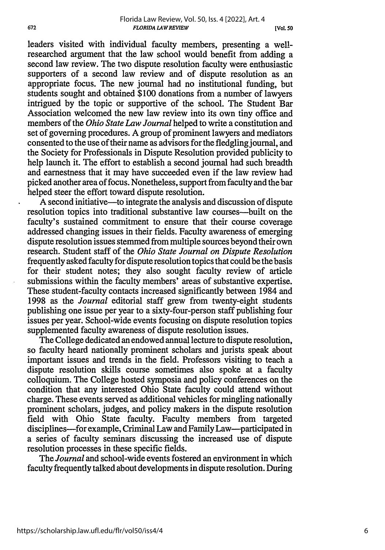leaders visited with individual faculty members, presenting a wellresearched argument that the law school would benefit from adding a second law review. The two dispute resolution faculty were enthusiastic supporters of a second law review and of dispute resolution as an appropriate focus. The new journal had no institutional funding, but students sought and obtained \$100 donations from a number of lawyers intrigued by the topic or supportive of the school. The Student Bar Association welcomed the new law review into its own tiny office and members of the *Ohio State Law Journal* helped to write a constitution and set of governing procedures. A group of prominent lawyers and mediators consented to the use of their name as advisors for the fledgling journal, and the Society for Professionals in Dispute Resolution provided publicity to help launch it. The effort to establish a second journal had such breadth and earnestness that it may have succeeded even if the law review had picked another area of focus. Nonetheless, support from faculty and the bar helped steer the effort toward dispute resolution.

A second initiative—to integrate the analysis and discussion of dispute resolution topics into traditional substantive law courses-built on the faculty's sustained commitment to ensure that their course coverage addressed changing issues in their fields. Faculty awareness of emerging dispute resolution issues stemmed from multiple sources beyond their own research. Student staff of the *Ohio State Journal on Dispute Resolution* frequently asked faculty for dispute resolution topics that could be the basis for their student notes; they also sought faculty review of article submissions within the faculty members' areas of substantive expertise. These student-faculty contacts increased significantly between 1984 and 1998 as the *Journal* editorial staff grew from twenty-eight students publishing one issue per year to a sixty-four-person staff publishing four issues per year. School-wide events focusing on dispute resolution topics supplemented faculty awareness of dispute resolution issues.

The College dedicated an endowed annual lecture to dispute resolution, so faculty heard nationally prominent scholars and jurists speak about important issues and trends in the field. Professors visiting to teach a dispute resolution skills course sometimes also spoke at a faculty colloquium. The College hosted symposia and policy conferences on the condition that any interested Ohio State faculty could attend without charge. These events served as additional vehicles for mingling nationally prominent scholars, judges, and policy makers in the dispute resolution field with Ohio State faculty. Faculty members from targeted disciplines-for example, Criminal Law and Family Law-participated in a series of faculty seminars discussing the increased use of dispute resolution processes in these specific fields.

The *Journal* and school-wide events fostered an environment in which faculty frequently talked about developments in dispute resolution. During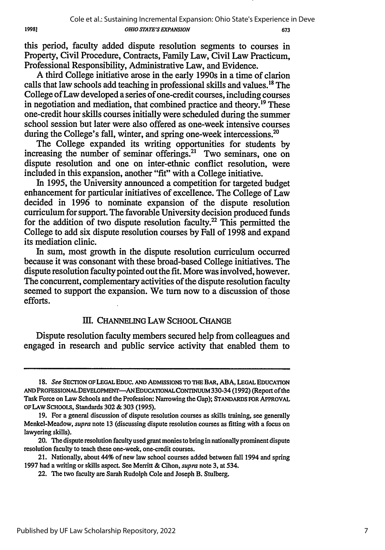this period, faculty added dispute resolution segments to courses in Property, Civil Procedure, Contracts, Family Law, Civil Law Practicum, Professional Responsibility, Administrative Law, and Evidence.

A third College initiative arose in the early 1990s in a time of clarion calls that law schools add teaching in professional skills and values.<sup>18</sup> The College of Law developed a series of one-credit courses, including courses in negotiation and mediation, that combined practice and theory.19 These one-credit hour skills courses initially were scheduled during the summer school session but later were also offered as one-week intensive courses during the College's fall, winter, and spring one-week intercessions.<sup>20</sup>

The College expanded its writing opportunities for students by increasing the number of seminar offerings.<sup>21</sup> Two seminars, one on dispute resolution and one on inter-ethnic conflict resolution, were included in this expansion, another "fit" with a College initiative.

In 1995, the University announced a competition for targeted budget enhancement for particular initiatives of excellence. The College of Law decided in 1996 to nominate expansion of the dispute resolution curriculum for support. The favorable University decision produced funds for the addition of two dispute resolution faculty.<sup>22</sup> This permitted the College to add six dispute resolution courses by Fall of 1998 and expand its mediation clinic.

In sum, most growth in the dispute resolution curriculum occurred because it was consonant with these broad-based College initiatives. The dispute resolution faculty pointed out the fit. More was involved, however. The concurrent, complementary activities of the dispute resolution faculty seemed to support the expansion. We turn now to a discussion of those efforts.

## Ill. **CHANNELING LAW SCHOOL CHANGE**

Dispute resolution faculty members secured help from colleagues and engaged in research and public service activity that enabled them to

*<sup>18.</sup>* **See SECTION OF LEGAL EDUC. AND ADMISSIONS TO THE BAR, ABA, LEGAL EDUCATION AND PROFESSIONALDEVELOPMENT-ANEDUCATIONALCONTmNUUM** 330-34 **(1992)** (Report of the Task Force on Law Schools and the Profession: Narrowing the Gap); **STANDARDS FOR APPROVAL OFLAW SCHOOLS,** Standards **302** & **303 (1995).**

**<sup>19.</sup>** For a general discussion of dispute resolution courses as skills training, see generally Menkel-Meadow, **supra** note **13** (discussing dispute resolution courses as fitting with a focus on lawyering skills).

<sup>20.</sup> The dispute resolution faculty used grant monies to bring in nationally prominent dispute resolution faculty to teach these one-week, one-credit courses.

<sup>21.</sup> Nationally, about 44% of new law school courses added between fall 1994 and spring **1997** had a writing or skills aspect. See Merritt & Cihon, **supra** note **3,** at 534.

<sup>22.</sup> The two faculty are Sarah Rudolph Cole and Joseph B. Stulberg.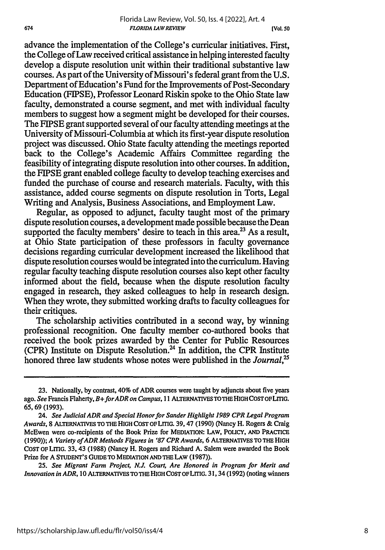advance the implementation of the College's curricular initiatives. First, the College of Law received critical assistance in helping interested faculty develop a dispute resolution unit within their traditional substantive law courses. As part of the University of Missouri's federal grant from the U.S. Department of Education's Fund for the Improvements of Post-Secondary Education (FIPSE), Professor Leonard Riskin spoke to the Ohio State law faculty, demonstrated a course segment, and met with individual faculty members to suggest how a segment might be developed for their courses. The FIPSE grant supported several of our faculty attending meetings at the University of Missouri-Columbia at which its first-year dispute resolution project was discussed. Ohio State faculty attending the meetings reported back to the College's Academic Affairs Committee regarding the feasibility of integrating dispute resolution into other courses. In addition, the FIPSE grant enabled college faculty to develop teaching exercises and funded the purchase of course and research materials. Faculty, with this assistance, added course segments on dispute resolution in Torts, Legal Writing and Analysis, Business Associations, and Employment Law.

Regular, as opposed to adjunct, faculty taught most of the primary dispute resolution courses, a development made possible because the Dean supported the faculty members' desire to teach in this area.<sup>23</sup> As a result, at Ohio State participation of these professors in faculty governance decisions regarding curricular development increased the likelihood that dispute resolution courses would be integrated into the curriculum. Having regular faculty teaching dispute resolution courses also kept other faculty informed about the field, because when the dispute resolution faculty engaged in research, they asked colleagues to help in research design. When they wrote, they submitted working drafts to faculty colleagues for their critiques.

The scholarship activities contributed in a second way, by winning professional recognition. One faculty member co-authored books that received the book prizes awarded by the Center for Public Resources (CPR) Institute on Dispute Resolution.<sup>24</sup> In addition, the CPR Institute honored three law students whose notes were published in the *Joural '*

*25. See Migrant Farm Project, N.J. Court, Are Honored in Program for Merit and Innovation in ADR,* **10 ALTERNATIVES TO THE HIGH COST** OFLITIG. **31,34 (1992)** (noting winners

**<sup>23.</sup>** Nationally, **by** contrast, 40% of ADR courses were taught **by** adjuncts about five years ago. *See* **Francis** Flaherty, *B+forADR on Campus,* **11 ALTERNATIVE TOTHE HIGH COST OFLITIG. 65, 69 (1993).**

<sup>24.</sup> *See Judicial ADR and Special Honor for Sander Highlight 1989 CPR Legal Program Awards,* **8 ALTERNATIVES TO THE HIGH** COST OFLITIG. **39,47 (1990)** (Nancy H. Rogers **&** Craig **McEwen** were co-recipients of the Book Prize for **MEDIATION:** LAW, **POLICY, AND** PRACTICE **(1990));** *A Variety of ADR Methods Figures in '87 CPR Awards,* **6 ALTERNATIVES TO THE HIGH COST** OFLITIG. 33, 43 **(1988)** (Nancy H. Rogers and Richard **A.** Salem were awarded the **Book** Prize for **A STUDENT'S GUIDETO MEDIATION AND THE LAW (1987)).**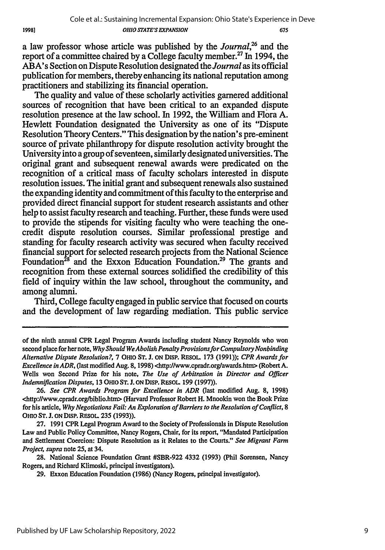a law professor whose article was published by the *Journal,26* and the report of a committee chaired by a College faculty member.<sup>27</sup> In 1994, the ABA's Section on Dispute Resolution designated the *Journal* as its official publication for members, thereby enhancing its national reputation among practitioners and stabilizing its financial operation.

19981

The quality and value of these scholarly activities garnered additional sources of recognition that have been critical to an expanded dispute resolution presence at the law school. In 1992, the William and Flora A. Hewlett Foundation designated the University as one of its "Dispute Resolution Theory Centers." This designation by the nation's pre-eminent source of private philanthropy for dispute resolution activity brought the University into a group of seventeen, similarly designated universities. The original grant and subsequent renewal awards were predicated on the recognition of a critical mass of faculty scholars interested in dispute resolution issues. The initial grant and subsequent renewals also sustained the expanding identity and commitment of this faculty to the enterprise and provided direct financial support for student research assistants and other help to assist faculty research and teaching. Further, these funds were used to provide the stipends for visiting faculty who were teaching the onecredit dispute resolution courses. Similar professional prestige and standing for faculty research activity was secured when faculty received financial support for selected research projects from the National Science Foundation<sup>28</sup> and the Exxon Education Foundation.<sup>29</sup> The grants and recognition from these external sources solidified the credibility of this field of inquiry within the law school, throughout the community, and among alumni.

Third, College faculty engaged in public service that focused on courts and the development of law regarding mediation. This public service

of the ninth annual CPR Legal Program Awards including student Nancy Reynolds who won second place for her note, *Why Should We Abolish Penalty Provisions for Compulsory Nonbinding Alternative Dispute Resolution?,* 7 OHIO **ST.** J. **ON** DiSp. REsOL 173 (1991)); *CPR Awards for Excellence in ADR*, (last modified Aug. 8, 1998) <http://www.cpradr.org/awards.htm> (Robert A. Wells won Second Prize for his note, *The Use of Arbitration in Director and Officer Indemnification Disputes,* 13 OHIO ST. J. **ON** DISP. RESOL 199 (1997)).

<sup>26.</sup> *See CPR Awards Program for Excellence in ADR* (last modified Aug. 8, 1998) <http://www.cpradr.orglbiblio.htm> (Harvard Professor Robert H. Mnookin won the Book Prize for his article, *Why Negotiations Fail: An Exploration of Barriers to the Resolution of Conflict, 8* OHIo **ST.** J. **ON** DIsP. RESOL 235 (1993)).

<sup>27. 1991</sup> CPR Legal Program Award to the Society of Professionals in Dispute Resolution Law and Public Policy Committee, Nancy Rogers, Chair, for its report, "Mandated Participation and Settlement Coercion: Dispute Resolution as it Relates to the Courts." *See Migrant Farm Project, supra* note 25, at 34.

<sup>28.</sup> National Science Foundation Grant #SBR-922 4332 (1993) (Phil Sorensen, Nancy Rogers, and Richard Klimoski, principal investigators).

<sup>29.</sup> Exxon Education Foundation (1986) (Nancy Rogers, principal investigator).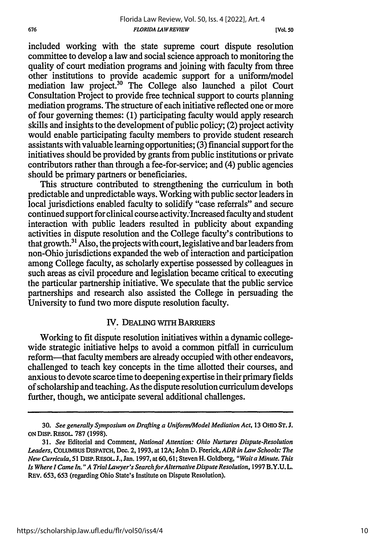**[Vol. so**

included working with the state supreme court dispute resolution committee to develop a law and social science approach to monitoring the quality of court mediation programs and joining with faculty from three other institutions to provide academic support for a uniform/model mediation law project.<sup>30</sup> The College also launched a pilot Court Consultation Project to provide free technical support to courts planning mediation programs. The structure of each initiative reflected one or more of four governing themes: (1) participating faculty would apply research skills and insights to the development of public policy; (2) project activity would enable participating faculty members to provide student research assistants with valuable learning opportunities; (3) financial support for the initiatives should be provided by grants from public institutions or private contributors rather than through a fee-for-service; and (4) public agencies should be primary partners or beneficiaries.

This structure contributed to strengthening the curriculum in both predictable and unpredictable ways. Working with public sector leaders in local jurisdictions enabled faculty to solidify "case referrals" and secure continued support for clinical course activity. Increased faculty and student interaction with public leaders resulted in publicity about expanding activities in dispute resolution and the College faculty's contributions to that growth.<sup>31</sup> Also, the projects with court, legislative and bar leaders from non-Ohio jurisdictions expanded the web of interaction and participation among College faculty, as scholarly expertise possessed by colleagues in such areas as civil procedure and legislation became critical to executing the particular partnership initiative. We speculate that the public service partnerships and research also assisted the College in persuading the University to fund two more dispute resolution faculty.

# **IV. DEALING** WiTH BARRIERS

Working to fit dispute resolution initiatives within a dynamic collegewide strategic initiative helps to avoid a common pitfall in curriculum reform-that faculty members are already occupied with other endeavors, challenged to teach key concepts in the time allotted their courses, and anxious to devote scarce time to deepening expertise in their primary fields of scholarship and teaching. As the dispute resolution curriculum develops further, though, we anticipate several additional challenges.

<sup>30.</sup> *See generally Symposium on Drafting a Uniform/Model Mediation Act,* 13 OHIo **ST. J.** ON DIsP. REsOL. 787 (1998).

<sup>31.</sup> *See* Editorial and Comment, *National Attention: Ohio Nurtures Dispute-Resolution Leaders,* CoLuMBus DISPATCH, Dee. 2, 1993, at **12A;** John D. Feerick, *ADR in Law Schools: The New Curricula,* 51 DISP. RESOL **J.,** Jan. 1997, at 60, 61; Steven H. Goldberg, *"Wait a Minute. This Is Where I Came In. " A Trial Lawyer's Search forAlternative Dispute Resolution,* 1997 B.Y.U. L. REV. 653, 653 (regarding Ohio State's Institute on Dispute Resolution).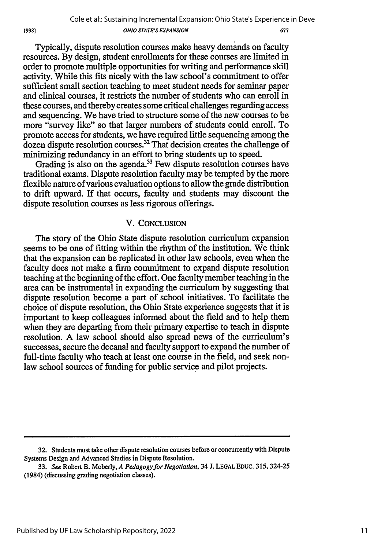Typically, dispute resolution courses make heavy demands on faculty resources. By design, student enrollments for these courses are limited in order to promote multiple opportunities for writing and performance skill activity. While this fits nicely with the law school's commitment to offer sufficient small section teaching to meet student needs for seminar paper and clinical courses, it restricts the number of students who can enroll in these courses, and thereby creates some critical challenges regarding access and sequencing. We have tried to structure some of the new courses to be more "survey like" so that larger numbers of students could enroll. To promote access for students, we have required little sequencing among the dozen dispute resolution courses.<sup>32</sup> That decision creates the challenge of minimizing redundancy in an effort to bring students up to speed.

19981

Grading is also on the agenda.<sup>33</sup> Few dispute resolution courses have traditional exams. Dispute resolution faculty may be tempted by the more flexible nature of various evaluation options to allow the grade distribution to drift upward. If that occurs, faculty and students may discount the dispute resolution courses as less rigorous offerings.

#### V. **CONCLUSION**

The story of the Ohio State dispute resolution curriculum expansion seems to be one of fitting within the rhythm of the institution. We think that the expansion can be replicated in other law schools, even when the faculty does not make a firm commitment to expand dispute resolution teaching at the beginning of the effort. One faculty member teaching in the area can be instrumental in expanding the curriculum by suggesting that dispute resolution become a part of school initiatives. To facilitate the choice of dispute resolution, the Ohio State experience suggests that it is important to keep colleagues informed about the field and to help them when they are departing from their primary expertise to teach in dispute resolution. A law school should also spread news of the curriculum's successes, secure the decanal and faculty support to expand the number of full-time faculty who teach at least one course in the field, and seek nonlaw school sources of funding for public service and pilot projects.

**<sup>32.</sup>** Students must take other dispute resolution courses before or concurrently with Dispute Systems Design and Advanced Studies in Dispute Resolution.

<sup>33.</sup> *See* Robert B. Moberly, *A Pedagogy for Negotiation,* 34 J. LEGAL EDUC. 315, 324-25 (1984) (discussing grading negotiation classes).